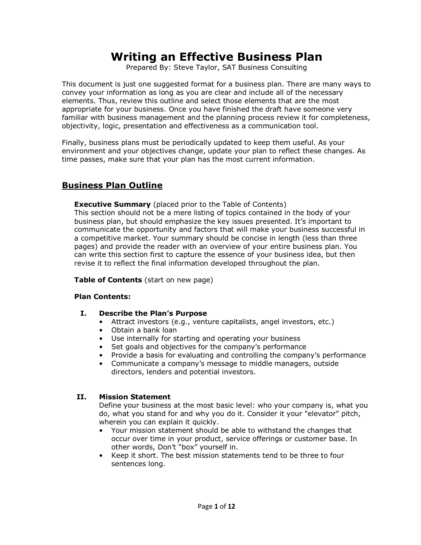# **Writing an Effective Business Plan**

Prepared By: Steve Taylor, SAT Business Consulting

This document is just one suggested format for a business plan. There are many ways to convey your information as long as you are clear and include all of the necessary elements. Thus, review this outline and select those elements that are the most appropriate for your business. Once you have finished the draft have someone very familiar with business management and the planning process review it for completeness, objectivity, logic, presentation and effectiveness as a communication tool.

Finally, business plans must be periodically updated to keep them useful. As your environment and your objectives change, update your plan to reflect these changes. As time passes, make sure that your plan has the most current information.

# **Business Plan Outline**

**Executive Summary** (placed prior to the Table of Contents)

This section should not be a mere listing of topics contained in the body of your business plan, but should emphasize the key issues presented. It's important to communicate the opportunity and factors that will make your business successful in a competitive market. Your summary should be concise in length (less than three pages) and provide the reader with an overview of your entire business plan. You can write this section first to capture the essence of your business idea, but then revise it to reflect the final information developed throughout the plan.

**Table of Contents** (start on new page)

#### **Plan Contents:**

- **I. Describe the Plan's Purpose** 
	- Attract investors (e.g., venture capitalists, angel investors, etc.)
	- Obtain a bank loan
	- Use internally for starting and operating your business
	- Set goals and objectives for the company's performance
	- Provide a basis for evaluating and controlling the company's performance
	- Communicate a company's message to middle managers, outside directors, lenders and potential investors.

#### **II. Mission Statement**

Define your business at the most basic level: who your company is, what you do, what you stand for and why you do it. Consider it your "elevator" pitch, wherein you can explain it quickly.

- Your mission statement should be able to withstand the changes that occur over time in your product, service offerings or customer base. In other words, Don't "box" yourself in.
- Keep it short. The best mission statements tend to be three to four sentences long.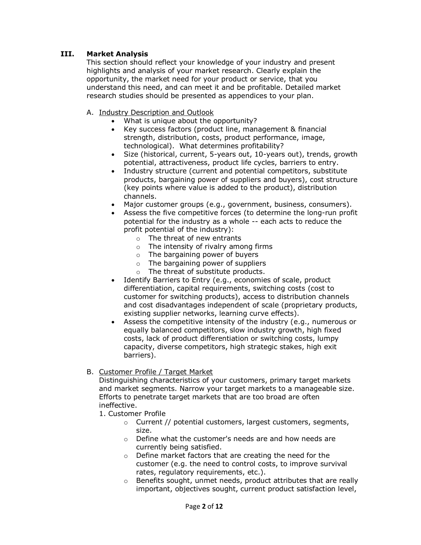# **III. Market Analysis**

This section should reflect your knowledge of your industry and present highlights and analysis of your market research. Clearly explain the opportunity, the market need for your product or service, that you understand this need, and can meet it and be profitable. Detailed market research studies should be presented as appendices to your plan.

- A. Industry Description and Outlook
	- What is unique about the opportunity?
	- Key success factors (product line, management & financial strength, distribution, costs, product performance, image, technological). What determines profitability?
	- Size (historical, current, 5-years out, 10-years out), trends, growth potential, attractiveness, product life cycles, barriers to entry.
	- Industry structure (current and potential competitors, substitute products, bargaining power of suppliers and buyers), cost structure (key points where value is added to the product), distribution channels.
	- Major customer groups (e.g., government, business, consumers).
	- Assess the five competitive forces (to determine the long-run profit potential for the industry as a whole -- each acts to reduce the profit potential of the industry):
		- o The threat of new entrants
		- o The intensity of rivalry among firms
		- $\circ$  The bargaining power of buyers
		- o The bargaining power of suppliers
		- o The threat of substitute products.
	- Identify Barriers to Entry (e.g., economies of scale, product differentiation, capital requirements, switching costs (cost to customer for switching products), access to distribution channels and cost disadvantages independent of scale (proprietary products, existing supplier networks, learning curve effects).
	- Assess the competitive intensity of the industry (e.g., numerous or equally balanced competitors, slow industry growth, high fixed costs, lack of product differentiation or switching costs, lumpy capacity, diverse competitors, high strategic stakes, high exit barriers).

#### B. Customer Profile / Target Market

Distinguishing characteristics of your customers, primary target markets and market segments. Narrow your target markets to a manageable size. Efforts to penetrate target markets that are too broad are often ineffective.

- 1. Customer Profile
	- o Current // potential customers, largest customers, segments, size.
	- o Define what the customer's needs are and how needs are currently being satisfied.
	- o Define market factors that are creating the need for the customer (e.g. the need to control costs, to improve survival rates, regulatory requirements, etc.).
	- o Benefits sought, unmet needs, product attributes that are really important, objectives sought, current product satisfaction level,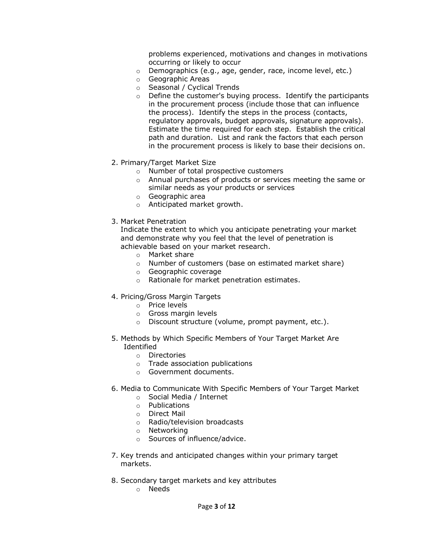problems experienced, motivations and changes in motivations occurring or likely to occur

- o Demographics (e.g., age, gender, race, income level, etc.)
- o Geographic Areas
- o Seasonal / Cyclical Trends
- $\circ$  Define the customer's buying process. Identify the participants in the procurement process (include those that can influence the process). Identify the steps in the process (contacts, regulatory approvals, budget approvals, signature approvals). Estimate the time required for each step. Establish the critical path and duration. List and rank the factors that each person in the procurement process is likely to base their decisions on.
- 2. Primary/Target Market Size
	- o Number of total prospective customers
	- o Annual purchases of products or services meeting the same or similar needs as your products or services
	- o Geographic area
	- o Anticipated market growth.
- 3. Market Penetration

Indicate the extent to which you anticipate penetrating your market and demonstrate why you feel that the level of penetration is achievable based on your market research.

- o Market share
- o Number of customers (base on estimated market share)
- o Geographic coverage
- o Rationale for market penetration estimates.
- 4. Pricing/Gross Margin Targets
	- o Price levels
	- o Gross margin levels
	- o Discount structure (volume, prompt payment, etc.).
- 5. Methods by Which Specific Members of Your Target Market Are Identified
	- o Directories
	- o Trade association publications
	- o Government documents.
- 6. Media to Communicate With Specific Members of Your Target Market
	- o Social Media / Internet
	- o Publications
	- o Direct Mail
	- o Radio/television broadcasts
	- o Networking
	- o Sources of influence/advice.
- 7. Key trends and anticipated changes within your primary target markets.
- 8. Secondary target markets and key attributes
	- o Needs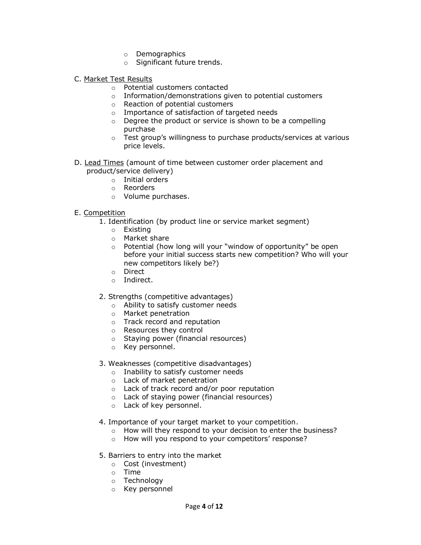- o Demographics
- o Significant future trends.
- C. Market Test Results
	- o Potential customers contacted
	- o Information/demonstrations given to potential customers
	- o Reaction of potential customers
	- o Importance of satisfaction of targeted needs
	- o Degree the product or service is shown to be a compelling purchase
	- o Test group's willingness to purchase products/services at various price levels.
- D. Lead Times (amount of time between customer order placement and product/service delivery)
	- o Initial orders
	- o Reorders
	- o Volume purchases.

#### E. Competition

- 1. Identification (by product line or service market segment)
	- o Existing
	- o Market share
	- o Potential (how long will your "window of opportunity" be open before your initial success starts new competition? Who will your new competitors likely be?)
	- o Direct
	- o Indirect.

#### 2. Strengths (competitive advantages)

- o Ability to satisfy customer needs
- o Market penetration
- o Track record and reputation
- o Resources they control
- o Staying power (financial resources)
- o Key personnel.

## 3. Weaknesses (competitive disadvantages)

- o Inability to satisfy customer needs
- o Lack of market penetration
- o Lack of track record and/or poor reputation
- o Lack of staying power (financial resources)
- o Lack of key personnel.
- 4. Importance of your target market to your competition.
	- o How will they respond to your decision to enter the business?
	- o How will you respond to your competitors' response?
- 5. Barriers to entry into the market
	- o Cost (investment)
	- o Time
	- o Technology
	- o Key personnel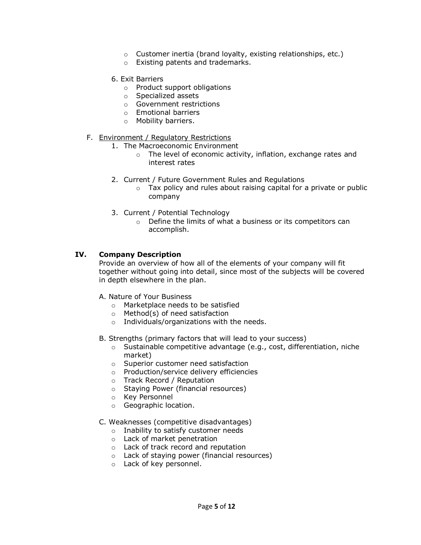- o Customer inertia (brand loyalty, existing relationships, etc.)
- o Existing patents and trademarks.
- 6. Exit Barriers
	- o Product support obligations
	- o Specialized assets
	- o Government restrictions
	- o Emotional barriers
	- o Mobility barriers.

#### F. Environment / Regulatory Restrictions

- 1. The Macroeconomic Environment
	- o The level of economic activity, inflation, exchange rates and interest rates
- 2. Current / Future Government Rules and Regulations
	- $\circ$  Tax policy and rules about raising capital for a private or public company
- 3. Current / Potential Technology
	- o Define the limits of what a business or its competitors can accomplish.

## **IV. Company Description**

Provide an overview of how all of the elements of your company will fit together without going into detail, since most of the subjects will be covered in depth elsewhere in the plan.

- A. Nature of Your Business
	- o Marketplace needs to be satisfied
	- o Method(s) of need satisfaction
	- o Individuals/organizations with the needs.
- B. Strengths (primary factors that will lead to your success)
	- o Sustainable competitive advantage (e.g., cost, differentiation, niche market)
	- o Superior customer need satisfaction
	- o Production/service delivery efficiencies
	- o Track Record / Reputation
	- o Staying Power (financial resources)
	- o Key Personnel
	- o Geographic location.

#### C. Weaknesses (competitive disadvantages)

- o Inability to satisfy customer needs
- o Lack of market penetration
- o Lack of track record and reputation
- o Lack of staying power (financial resources)
- o Lack of key personnel.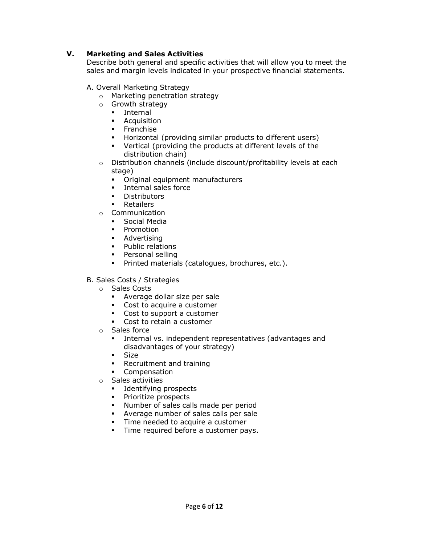## **V. Marketing and Sales Activities**

Describe both general and specific activities that will allow you to meet the sales and margin levels indicated in your prospective financial statements.

## A. Overall Marketing Strategy

- o Marketing penetration strategy
- o Growth strategy
	- **Internal**
	- **-** Acquisition
	- **Franchise**
	- Horizontal (providing similar products to different users)
	- Vertical (providing the products at different levels of the distribution chain)
- o Distribution channels (include discount/profitability levels at each stage)
	- Original equipment manufacturers
	- **Internal sales force**
	- **Distributors**
	- **Retailers**
- o Communication
	- **Social Media**
	- **•** Promotion
	- **Advertising**
	- **•** Public relations
	- **Personal selling**
	- **Printed materials (catalogues, brochures, etc.).**

## B. Sales Costs / Strategies

- o Sales Costs
	- Average dollar size per sale
	- Cost to acquire a customer
	- Cost to support a customer
	- Cost to retain a customer
- o Sales force
	- Internal vs. independent representatives (advantages and disadvantages of your strategy)
	- **Size**
	- **Recruitment and training**
	- **•** Compensation
- o Sales activities
	- **Identifying prospects**
	- **Prioritize prospects**
	- **Number of sales calls made per period**
	- Average number of sales calls per sale
	- Time needed to acquire a customer
	- **Time required before a customer pays.**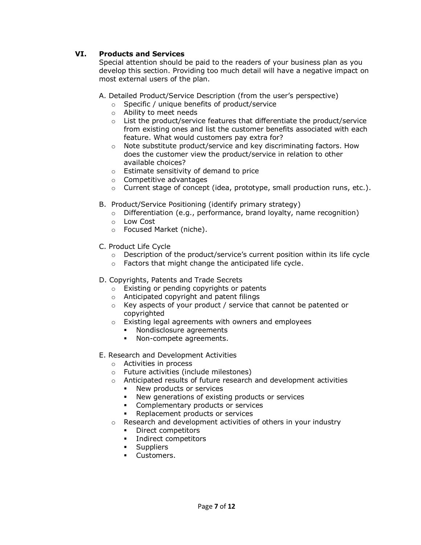# **VI. Products and Services**

Special attention should be paid to the readers of your business plan as you develop this section. Providing too much detail will have a negative impact on most external users of the plan.

A. Detailed Product/Service Description (from the user's perspective)

- o Specific / unique benefits of product/service
- o Ability to meet needs
- o List the product/service features that differentiate the product/service from existing ones and list the customer benefits associated with each feature. What would customers pay extra for?
- $\circ$  Note substitute product/service and key discriminating factors. How does the customer view the product/service in relation to other available choices?
- o Estimate sensitivity of demand to price
- o Competitive advantages
- $\circ$  Current stage of concept (idea, prototype, small production runs, etc.).
- B. Product/Service Positioning (identify primary strategy)
	- $\circ$  Differentiation (e.g., performance, brand loyalty, name recognition)
	- o Low Cost
	- o Focused Market (niche).
- C. Product Life Cycle
	- $\circ$  Description of the product/service's current position within its life cycle
	- o Factors that might change the anticipated life cycle.
- D. Copyrights, Patents and Trade Secrets
	- o Existing or pending copyrights or patents
	- o Anticipated copyright and patent filings
	- o Key aspects of your product / service that cannot be patented or copyrighted
	- o Existing legal agreements with owners and employees
		- **Nondisclosure agreements**
		- Non-compete agreements.
- E. Research and Development Activities
	- o Activities in process
	- o Future activities (include milestones)
	- o Anticipated results of future research and development activities
		- **New products or services**
		- New generations of existing products or services
		- **•** Complementary products or services
		- **Replacement products or services**
	- o Research and development activities of others in your industry
		- **•** Direct competitors
		- **Indirect competitors**
		- **Suppliers**
		- **Customers.**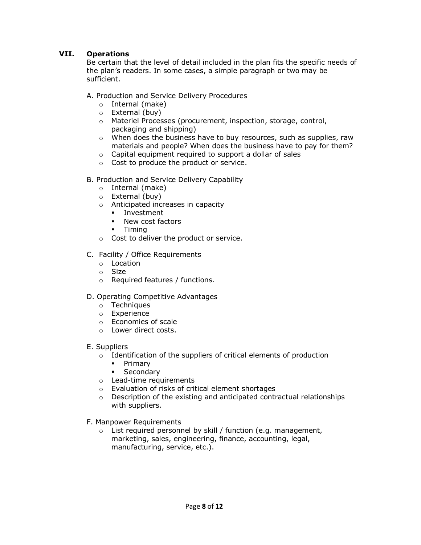# **VII. Operations**

Be certain that the level of detail included in the plan fits the specific needs of the plan's readers. In some cases, a simple paragraph or two may be sufficient.

A. Production and Service Delivery Procedures

- o Internal (make)
- o External (buy)
- o Materiel Processes (procurement, inspection, storage, control, packaging and shipping)
- o When does the business have to buy resources, such as supplies, raw materials and people? When does the business have to pay for them?
- o Capital equipment required to support a dollar of sales
- o Cost to produce the product or service.
- B. Production and Service Delivery Capability
	- o Internal (make)
	- o External (buy)
	- o Anticipated increases in capacity
		- **Investment**
		- **New cost factors**
		- Timing
	- o Cost to deliver the product or service.
- C. Facility / Office Requirements
	- o Location
	- o Size
	- o Required features / functions.

#### D. Operating Competitive Advantages

- o Techniques
- o Experience
- o Economies of scale
- o Lower direct costs.
- E. Suppliers
	- o Identification of the suppliers of critical elements of production
		- **Primary**
		- **Secondary**
	- o Lead-time requirements
	- o Evaluation of risks of critical element shortages
	- o Description of the existing and anticipated contractual relationships with suppliers.
- F. Manpower Requirements
	- $\circ$  List required personnel by skill / function (e.g. management, marketing, sales, engineering, finance, accounting, legal, manufacturing, service, etc.).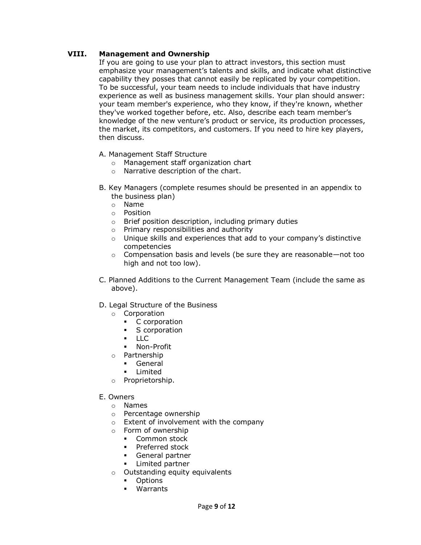# **VIII. Management and Ownership**

If you are going to use your plan to attract investors, this section must emphasize your management's talents and skills, and indicate what distinctive capability they posses that cannot easily be replicated by your competition. To be successful, your team needs to include individuals that have industry experience as well as business management skills. Your plan should answer: your team member's experience, who they know, if they're known, whether they've worked together before, etc. Also, describe each team member's knowledge of the new venture's product or service, its production processes, the market, its competitors, and customers. If you need to hire key players, then discuss.

- A. Management Staff Structure
	- o Management staff organization chart
	- o Narrative description of the chart.
- B. Key Managers (complete resumes should be presented in an appendix to the business plan)
	- o Name
	- o Position
	- o Brief position description, including primary duties
	- o Primary responsibilities and authority
	- o Unique skills and experiences that add to your company's distinctive competencies
	- $\circ$  Compensation basis and levels (be sure they are reasonable—not too high and not too low).
- C. Planned Additions to the Current Management Team (include the same as above).
- D. Legal Structure of the Business
	- o Corporation
		- C corporation<br>S corporation
		- S corporation
		- **LLC**
		- Non-Profit
	- o Partnership
		- General
		- **-** Limited
	- o Proprietorship.

#### E. Owners

- o Names
- o Percentage ownership
- o Extent of involvement with the company
- o Form of ownership
	- **Common stock**
	- **Preferred stock**
	- General partner
	- **EXECUTE:** Limited partner
- o Outstanding equity equivalents
	- **•** Options
	- Warrants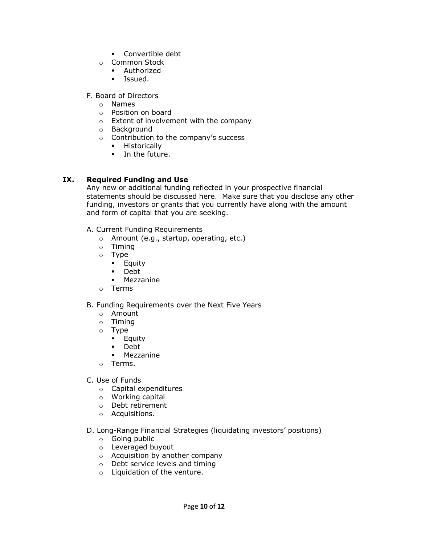- **-** Convertible debt
- o Common Stock
	- **Authorized**
	- **Issued.**

F. Board of Directors

- o Names
- o Position on board
- o Extent of involvement with the company
- o Background
- o Contribution to the company's success
	- **-** Historically
	- **In the future.**

# **IX. Required Funding and Use**

Any new or additional funding reflected in your prospective financial statements should be discussed here. Make sure that you disclose any other funding, investors or grants that you currently have along with the amount and form of capital that you are seeking.

A. Current Funding Requirements

- o Amount (e.g., startup, operating, etc.)
- o Timing
- o Type
	- **Equity**
	- Debt
	- Mezzanine
- o Terms

## B. Funding Requirements over the Next Five Years

- o Amount
- o Timing
- o Type
	- **Equity**
	- Debt
	- Mezzanine
- o Terms.
- C. Use of Funds
	- o Capital expenditures
	- o Working capital
	- o Debt retirement
	- o Acquisitions.
- D. Long-Range Financial Strategies (liquidating investors' positions)
	- o Going public
	- o Leveraged buyout
	- o Acquisition by another company
	- o Debt service levels and timing
	- o Liquidation of the venture.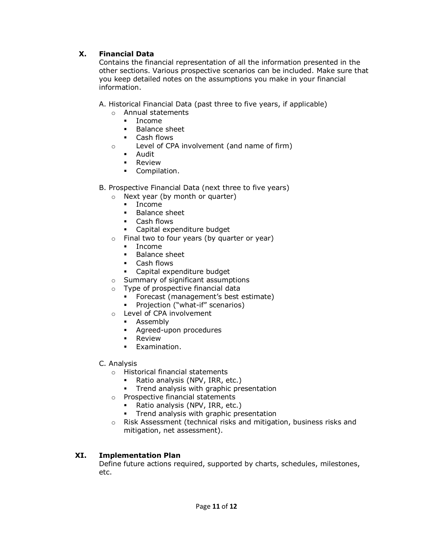# **X. Financial Data**

Contains the financial representation of all the information presented in the other sections. Various prospective scenarios can be included. Make sure that you keep detailed notes on the assumptions you make in your financial information.

A. Historical Financial Data (past three to five years, if applicable)

- o Annual statements
	- Income
	- **Balance sheet**
	- Cash flows
- o Level of CPA involvement (and name of firm)
	- Audit
	- **-** Review
	- **•** Compilation.
- B. Prospective Financial Data (next three to five years)
	- o Next year (by month or quarter)
		- **Income**
		- **Balance sheet**
		- Cash flows
		- Capital expenditure budget
	- o Final two to four years (by quarter or year)
		- $Income$ 
			- **Balance sheet**
			- Cash flows
		- Capital expenditure budget
	- o Summary of significant assumptions
	- o Type of prospective financial data
		- **Forecast (management's best estimate)**
		- **•** Projection ("what-if" scenarios)
	- o Level of CPA involvement
		- **-** Assembly
		- **Agreed-upon procedures**
		- **Review**
		- **Examination.**
- C. Analysis
	- o Historical financial statements
		- Ratio analysis (NPV, IRR, etc.)
		- **Trend analysis with graphic presentation**
	- o Prospective financial statements
		- Ratio analysis (NPV, IRR, etc.)
		- **Trend analysis with graphic presentation**
	- o Risk Assessment (technical risks and mitigation, business risks and mitigation, net assessment).

## **XI. Implementation Plan**

Define future actions required, supported by charts, schedules, milestones, etc.